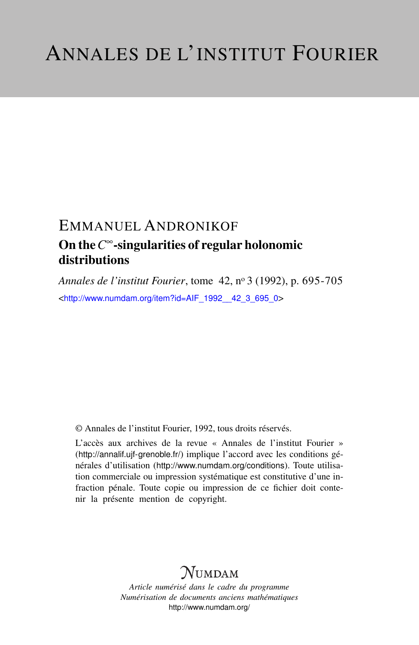# EMMANUEL ANDRONIKOF On the*C* <sup>∞</sup>-singularities of regular holonomic distributions

*Annales de l'institut Fourier*, tome 42, n<sup>o</sup> 3 (1992), p. 695-705 <[http://www.numdam.org/item?id=AIF\\_1992\\_\\_42\\_3\\_695\\_0](http://www.numdam.org/item?id=AIF_1992__42_3_695_0)>

© Annales de l'institut Fourier, 1992, tous droits réservés.

L'accès aux archives de la revue « Annales de l'institut Fourier » (<http://annalif.ujf-grenoble.fr/>) implique l'accord avec les conditions générales d'utilisation (<http://www.numdam.org/conditions>). Toute utilisation commerciale ou impression systématique est constitutive d'une infraction pénale. Toute copie ou impression de ce fichier doit contenir la présente mention de copyright.

# NUMDAM

*Article numérisé dans le cadre du programme Numérisation de documents anciens mathématiques* <http://www.numdam.org/>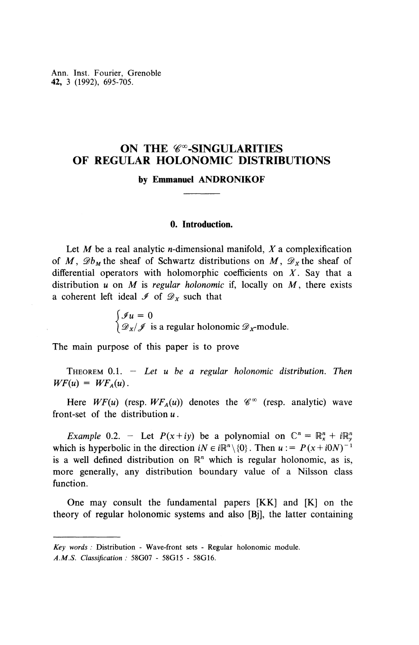Ann. Inst. Fourier, Grenoble **42,** 3 (1992), 695-705.

# **ON THE**  $\mathscr{C}^{\infty}$ **-SINGULARITIES OF REGULAR HOLONOMIC DISTRIBUTIONS**

**by Emmanuel ANDRONIKOF**

## **0. Introduction.**

Let *M* be a real analytic n-dimensional manifold, *X* a complexification of M,  $\mathscr{D}_{M}$  the sheaf of Schwartz distributions on M,  $\mathscr{D}_{X}$  the sheaf of differential operators with holomorphic coefficients on *X.* Say that a distribution u on M is *regular holonomic* if, locally on M, there exists a coherent left ideal  $\mathcal I$  of  $\mathcal D_x$  such that

> $\int \mathcal{J}u = 0$  $\int \mathscr{D}_{x}/\mathscr{J}$  is a regular holonomic  $\mathscr{D}_{x}$ -module.

The main purpose of this paper is to prove

THEOREM 0.1. - *Let u be a regular holonomic distribution. Then*  $WF(u) = WF<sub>A</sub>(u)$ .

Here  $WF(u)$  (resp.  $WF_A(u)$ ) denotes the  $\mathscr{C}^{\infty}$  (resp. analytic) wave front-set of the distribution *u.*

*Example* 0.2. - Let  $P(x+iy)$  be a polynomial on  $\mathbb{C}^n = \mathbb{R}^n_x + i\mathbb{R}^n_y$ which is hyperbolic in the direction  $iN \in i\mathbb{R}^n \setminus \{0\}$ . Then  $u := P(x + i0N)^{-1}$ is a well defined distribution on  $\mathbb{R}^n$  which is regular holonomic, as is, more generally, any distribution boundary value of a Nilsson class function.

One may consult the fundamental papers [KK] and [K] on the theory of regular holonomic systems and also [Bj], the latter containing

*Key words :* Distribution - Wave-front sets - Regular holonomic module.

*A.M.S. Classification :* 58G07 - 58G15 - 58G16.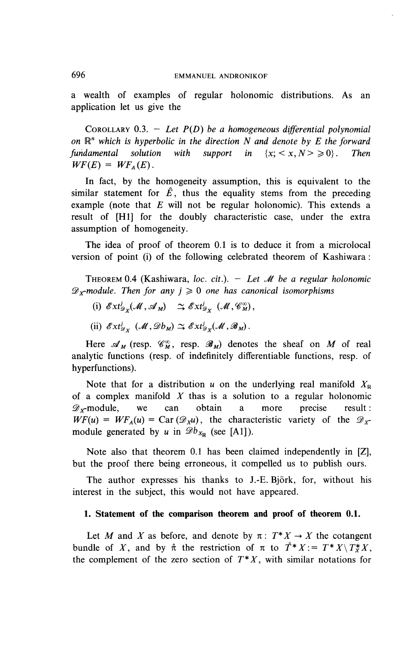a wealth of examples of regular holonomic distributions. As an application let us give the

COROLLARY 0.3. - *Let P(D) be a homogeneous differential polynomial on* R" *\vhich is hyperbolic in the direction N and denote by E the forward fundamental solution with support in*  $\{x: \langle x, N \rangle \ge 0\}$ . Then  $WF(E) = WF_{A}(E)$ .

In fact, by the homogeneity assumption, this is equivalent to the similar statement for  $\hat{E}$ , thus the equality stems from the preceding example (note that *E* will not be regular holonomic). This extends a result of [HI] for the doubly characteristic case, under the extra assumption of homogeneity.

The idea of proof of theorem 0.1 is to deduce it from a microlocal version of point (i) of the following celebrated theorem of Kashiwara :

THEOREM 0.4 (Kashiwara, *loc. cit.). - Let M be a regular holonomic*  $\mathscr{D}_x$ -module. Then for any  $j \geq 0$  one has canonical isomorphisms

- (i)  $\mathscr{E}xt_{\mathscr{D}_X}^j(\mathscr{M},\mathscr{A}_M) \cong \mathscr{E}xt_{\mathscr{D}_Y}^j (\mathscr{M},\mathscr{C}_M^{\infty}),$
- (ii)  $\mathscr{E}xt_{\mathscr{D}_{\mathcal{X}}}^{j}(\mathscr{M},\mathscr{D}_{\mathcal{D}_{\mathcal{M}}})\simeq \mathscr{E}xt_{\mathscr{D}_{\mathcal{X}}}^{j}(\mathscr{M},\mathscr{B}_{\mathcal{M}}).$

Here  $\mathscr{A}_{M}$  (resp.  $\mathscr{C}_{M}^{\infty}$ , resp.  $\mathscr{B}_{M}$ ) denotes the sheaf on *M* of real analytic functions (resp. of indefinitely differentiable functions, resp. of hyperfunctions).

Note that for a distribution *u* on the underlying real manifold  $X_{\mathbb{R}}$ of a complex manifold *X* thas is a solution to a regular holonomic  $\mathscr{D}_r$ -module, we can obtain a more precise result :  $WF(u) = WF_A(u) = \text{Car} (\mathscr{D}_X u)$ , the characteristic variety of the  $\mathscr{D}_X$ module generated by *u* in  $\mathscr{D}b_{X_{\mathbb{R}}}$  (see [A1]).

Note also that theorem 0.1 has been claimed independently in [Z], but the proof there being erroneous, it compelled us to publish ours.

The author expresses his thanks to J.-E. Bjork, for, without his interest in the subject, this would not have appeared.

### **1. Statement of the comparison theorem and proof of theorem 0.1.**

Let *M* and *X* as before, and denote by  $\pi$ :  $T^*X \to X$  the cotangent bundle of X, and by  $\hat{\pi}$  the restriction of  $\pi$  to  $\hat{T}^*X := T^*X \setminus T^*X$ , the complement of the zero section of  $T^*X$ , with similar notations for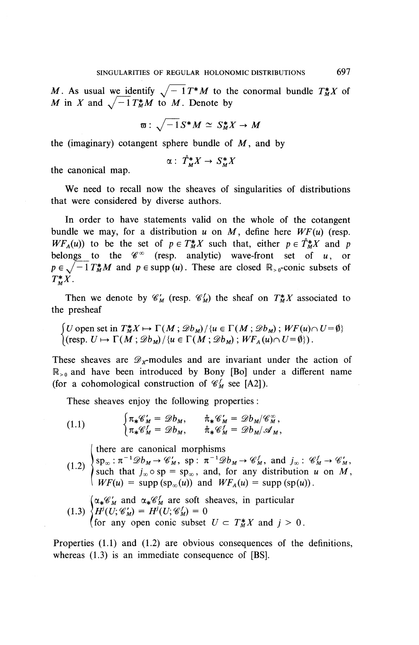*M*. As usual we identify  $\sqrt{-1}T^*M$  to the conormal bundle  $T^*M$  of *M* in *X* and  $\sqrt{-1}T_M^*M$  to *M*. Denote by

$$
\varpi: \sqrt{-1}S^*M \simeq S^*_MX \to M
$$

the (imaginary) cotangent sphere bundle of  $M$ , and by

$$
\alpha: \; \mathring{T}_M^* X \to S_M^* X
$$

the canonical map.

We need to recall now the sheaves of singularities of distributions that were considered by diverse authors.

In order to have statements valid on the whole of the cotangent bundle we may, for a distribution  $u$  on  $M$ , define here  $WF(u)$  (resp. *WF<sub>A</sub>(u)*) to be the set of  $p \in T^*_{M}X$  such that, either  $p \in T^*_{M}X$  and p belongs to the  $\mathscr{C}^{\infty}$  (resp. analytic) wave-front set of *u*, or  $p \in \sqrt{-1}T_M^*M$  and  $p \in \text{supp}(u)$ . These are closed  $\mathbb{R}_{>0}$ -conic subsets of  $T^*_{\mathcal{M}}X$ .

Then we denote by  $\mathcal{C}'_M$  (resp.  $\mathcal{C}'_M$ ) the sheaf on  $T^*_{M}X$  associated to the presheaf

 $\int U$  open set in  $T^*_{M}X \mapsto \Gamma(M; \mathscr{D}b_M)/\{u \in \Gamma(M; \mathscr{D}b_M)\};$   $WF(u) \cap U = \emptyset\}$  $[(\text{resp. } U \mapsto \Gamma(M;\mathcal{D}b_M)/{u \in \Gamma(M;\mathcal{D}b_M)}; WF_A(u) \cap U=\emptyset\rbrace).$ 

These sheaves are  $\mathscr{D}_x$ -modules and are invariant under the action of  $\mathbb{R}_{>0}$  and have been introduced by Bony [Bo] under a different name (for a cohomological construction of  $\mathcal{C}_M^f$  see [A2]).

These sheaves enjoy the following properties :

(1.1) 
$$
\begin{cases} \pi_*\mathscr{C}'_M = \mathscr{D}b_M, & \hat{\pi}_*\mathscr{C}'_M = \mathscr{D}b_M/\mathscr{C}^\infty_M, \\ \pi_*\mathscr{C}'_M = \mathscr{D}b_M, & \hat{\pi}_*\mathscr{C}'_M = \mathscr{D}b_M/\mathscr{A}_M, \end{cases}
$$

there are canonical morphisms

- $sp_{\infty}: \pi^{-1}\mathscr{D}b_M \to \mathscr{C}'_M$ ,  $sp: \pi^{-1}\mathscr{D}b_M \to \mathscr{C}'_M$ , and  $j_{\infty}: \mathscr{C}'_M \to \mathscr{C}'_M$ , <sup>2)</sup> such that  $j_{\infty} \circ sp = sp_{\infty}$ , and, for any distribution *u* on *M*,  $WF(u) = \text{supp}(\text{sp}_{\infty}(u))$  and  $WF_A(u) = \text{supp}(\text{sp}(u))$ .
- $\alpha_{*}\mathscr{C}'_{M}$  and  $\alpha_{*}\mathscr{C}'_{M}$  are soft sheaves, in particular (1.3)  $\left\{H^i(U; \mathscr{C}'_M)=H^i(U; \mathscr{C}'_M)=0\right\}$ (for any open conic subset  $U \subset T_M^*X$  and  $j > 0$ .)

Properties (1.1) and (1.2) are obvious consequences of the definitions, whereas  $(1.3)$  is an immediate consequence of [BS].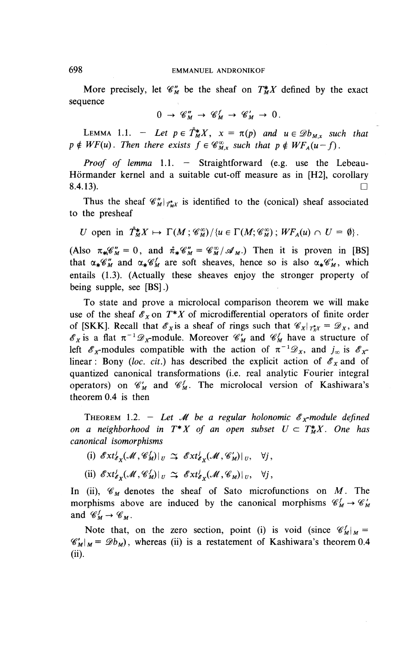More precisely, let  $\mathcal{C}_{M}^{*}$  be the sheaf on  $T_{M}^{*}X$  defined by the exact sequence

$$
0 \to \mathscr{C}_M'' \to \mathscr{C}_M^f \to \mathscr{C}_M' \to 0.
$$

LEMMA 1.1. - Let  $p \in \hat{T}^*_M X$ ,  $x = \pi(p)$  and  $u \in \mathscr{D}b_{Mx}$  such that  $p \notin WF(u)$ . Then there exists  $f \in \mathcal{C}_{M,x}^{\infty}$  such that  $p \notin WF_A(u-f)$ .

*Proof of lemma* 1.1. — Straightforward (e.g. use the Lebeau-Hörmander kernel and a suitable cut-off measure as in [H2], corollary 8.4.13).

Thus the sheaf  $\mathscr{C}'_M|_{r^*M}$  is identified to the (conical) sheaf associated to the presheaf

$$
U \text{ open in } \hat{T}^*_M X \mapsto \Gamma(M; \mathscr{C}^\infty_M) / \{u \in \Gamma(M; \mathscr{C}^\infty_M) ; WF_A(u) \cap U = \emptyset \}.
$$

(Also  $\pi_{\mathbf{M}} \mathscr{C}_{M}^{\prime\prime} = 0$ , and  $\hat{\pi}_{\mathbf{M}} \mathscr{C}_{M}^{\prime\prime} = \mathscr{C}_{M}^{\infty}/\mathscr{A}_{M}$ .) Then it is proven in [BS] that  $\alpha_*\mathscr{C}_M^{\prime}$  and  $\alpha_*\mathscr{C}_M^{\prime}$  are soft sheaves, hence so is also  $\alpha_*\mathscr{C}_M^{\prime}$ , which entails (1.3). (Actually these sheaves enjoy the stronger property of being supple, see [BS].)

To state and prove a microlocal comparison theorem we will make use of the sheaf  $\mathscr{E}_X$  on  $T^*X$  of microdifferential operators of finite order of [SKK]. Recall that  $\mathscr{E}_X$  is a sheaf of rings such that  $\mathscr{C}_X/\tau_{XX}^* = \mathscr{D}_X$ , and of [SKK]. Recall that  $\mathscr{E}_X$  is a sheaf of rings such that  $\mathscr{C}_X |_{T^*_XX} = \mathscr{D}_X$ , and  $\mathscr{E}_X$  is a flat  $\pi^{-1}\mathscr{D}_X$ -module. Moreover  $\mathscr{C}'_M$  and  $\mathscr{C}'_M$  have a structure of left  $\mathscr{E}_x$ -modules compatible with the action of  $\pi^{-1}\mathscr{D}_x$ , and  $j_\infty$  is  $\mathscr{E}_x$ linear : Bony (loc. cit.) has described the explicit action of  $\mathscr{E}_x$  and of quantized canonical transformations (i.e. real analytic Fourier integral operators) on  $\mathcal{C}'_M$  and  $\mathcal{C}^f_M$ . The microlocal version of Kashiwara's theorem 0.4 is then

THEOREM 1.2. – Let *M* be a regular holonomic  $\mathscr{E}_X$ -module defined *on a neighborhood in*  $T^*X$  *of an open subset*  $U \subset T^*M$ *. One has canonical isomorphisms*

(i)  $\mathscr{E}xt^j_{\mathscr{E}_Y}(\mathscr{M}, \mathscr{C}_M^f)|_U \cong \mathscr{E}xt^j_{\mathscr{E}_Y}(\mathscr{M}, \mathscr{C}_M^{\prime})|_U, \quad \forall j,$ 

(ii)  $\mathscr{E}xt^j_{\mathscr{E}_Y}(\mathscr{M}, \mathscr{C}_M^f)|_U \cong \mathscr{E}xt^j_{\mathscr{E}_X}(\mathscr{M}, \mathscr{C}_M)|_U, \quad \forall j,$ 

In (ii),  $\mathcal{C}_M$  denotes the sheaf of Sato microfunctions on M. The morphisms above are induced by the canonical morphisms  $\mathcal{C}_M^f \to \mathcal{C}_M^f$ and  $\mathscr{C}_M^f \to \mathscr{C}_M$ .

Note that, on the zero section, point (i) is void (since  $\mathscr{C}_{M\mid M}^f$  =  $\mathscr{C}_{M}$ <sub>J</sub> $\mathscr{D}_{M}$  =  $\mathscr{D}_{b}$ , whereas (ii) is a restatement of Kashiwara's theorem 0.4 (ii).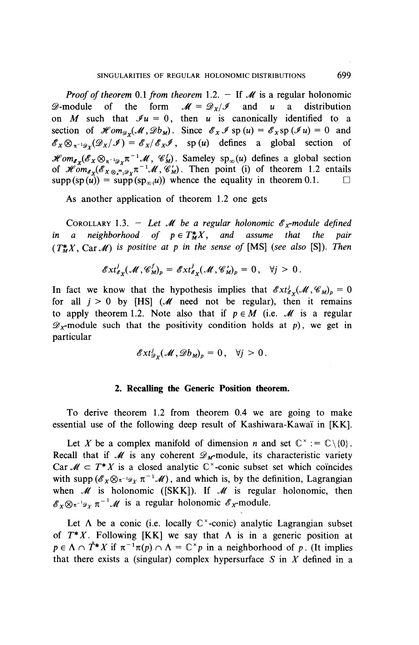*Proof of theorem* 0.1 *from theorem* 1.2. — If *M* is a regular holonomic **2**-module of the form  $M = \mathcal{D}_x/\mathcal{I}$  and u a distribution on *M* such that  $\mathcal{I}u = 0$ , then *u* is canonically identified to a section of  $\mathcal{H}$ *om*<sub> $g_{\nu}$ </sub> $(\mathcal{M}, \mathcal{D}b_{\mu})$ . Since  $\mathcal{E}_X \mathcal{I}$  sp  $(u) = \mathcal{E}_X$ sp  $(\mathcal{I}u) = 0$  and  $\mathscr{E}_X \otimes_{\pi^{-1}\mathscr{D}_Y} (\mathscr{D}_X/\mathscr{I}) = \mathscr{E}_X/\mathscr{E}_X \mathscr{I}$ , sp(u) defines a global section of  $\mathscr{H}om_{\mathscr{E}_X}(\mathscr{E}_X \otimes_{\pi^{-1}\mathscr{D}_X} \pi^{-1}\mathscr{M}, \mathscr{C}_M^1)$ . Sameley  $\text{sp}_\infty(u)$  defines a global section of  $\mathscr{H}om_{\mathscr{E}_X}(\mathscr{E}_X \otimes_{\mathscr{F}_1 \otimes_{\mathscr{F}_1} T^{-1}} \mathscr{M}, \mathscr{C}_M)$ . Then point (i) of theorem 1.2 entails  $\text{supp}(\text{sp}(\hat{u})) = \text{supp}(\text{sp}_{\infty}(u))$  whence the equality in theorem 0.1.  $\square$ 

As another application of theorem 1.2 one gets

COROLLARY 1.3. - Let *M* be a regular holonomic  $\mathscr{E}_x$ -module defined *in a neighborhood of*  $p \in T^*_{M}X$ *, and assume that the pair*  $(T^*_{\nu}X, \text{Car} \mathcal{M})$  *is positive at p in the sense of* [MS] (see also [S]). Then

$$
\mathscr{E}xt^j_{\mathscr{E}_X}(\mathscr{M},\mathscr{C}_M^f)_p=\mathscr{E}xt^j_{\mathscr{E}_X}(\mathscr{M},\mathscr{C}_M^f)_p=0, \quad \forall j>0.
$$

In fact we know that the hypothesis implies that  $\mathscr{E}xt^j_{\mathscr{E}_X}(\mathscr{M}, \mathscr{C}_M)_p = 0$ for all  $j > 0$  by [HS] ( $\mathcal{M}$  need not be regular), then it remains to apply theorem 1.2. Note also that if  $p \in M$  (i.e.  $M$  is a regular  $\mathscr{D}_{x}$ -module such that the positivity condition holds at p), we get in particular

$$
\mathscr{E}xt^j_{\mathscr{D}_X}(\mathscr{M},\mathscr{D}b_M)_p=0\,,\quad\forall j>0\,.
$$

#### **2. Recalling the Generic Position theorem.**

To derive theorem 1.2 from theorem 0.4 we are going to make essential use of the following deep result of Kashiwara-Kawaï in [KK].

Let X be a complex manifold of dimension *n* and set  $\mathbb{C}^* := \mathbb{C} \setminus \{0\}$ . Recall that if  $M$  is any coherent  $\mathscr{D}_{M}$ -module, its characteristic variety Car  $\mathcal{M} \subset T^*X$  is a closed analytic  $\mathbb{C}^*$ -conic subset set which coincides with supp  $(\mathscr{E}_X \otimes_{\pi^{-1}\mathscr{D}_X} \pi^{-1}\mathscr{M})$ , and which is, by the definition, Lagrangian when *M* is holonomic ([SKK]). If *M* is regular holonomic, then  $\mathscr{E}_X \otimes_{\pi^{-1} \mathscr{D}_X} \pi^{-1} \mathscr{M}$  is a regular holonomic  $\mathscr{E}_X$ -module.

Let  $\Lambda$  be a conic (i.e. locally  $\mathbb{C}^{\times}$ -conic) analytic Lagrangian subset of  $T^*X$ . Following [KK] we say that  $\Lambda$  is in a generic position at  $p \in \Lambda \cap \mathring{T}^*X$  if  $\pi^{-1}\pi(p) \cap \Lambda = \mathbb{C}^\times p$  in a neighborhood of p. (It implies that there exists a (singular) complex hypersurface  $S$  in  $X$  defined in a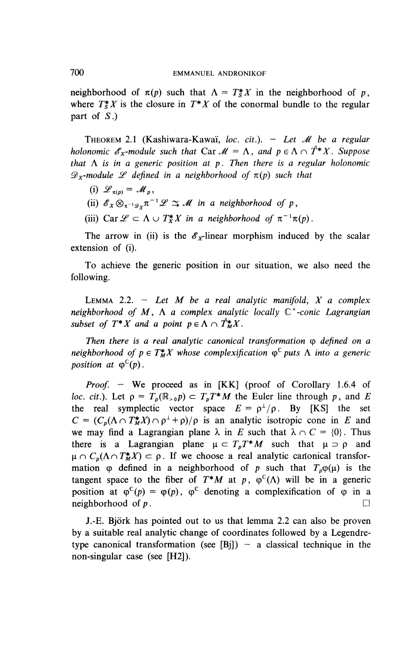neighborhood of  $\pi(p)$  such that  $\Lambda = T^*_{S} X$  in the neighborhood of p, where  $T^*X$  is the closure in  $T^*X$  of the conormal bundle to the regular part of *S.)*

THEOREM 2.1 (Kashiwara-Kawa'i, *loc. cit.). — Let M be a regular holonomic*  $\mathscr{E}_x$ *-module such that* Car  $\mathscr{M} = \Lambda$ , and  $p \in \Lambda \cap \mathring{T}^*X$ . Suppose *that*  $\Lambda$  *is in a generic position at p. Then there is a regular holonomic*  $\mathscr{D}_x$ -module *L* defined in a neighborhood of  $\pi(p)$  such that

- (i)  $\mathscr{L}_{\pi(n)} = \mathscr{M}_n$ ,
- (ii)  $\mathscr{E}_X \otimes_{\pi^{-1} \mathscr{D}_X} \pi^{-1} \mathscr{L} \cong \mathscr{M}$  in a neighborhood of p
- (iii) Car  $\mathscr{L} \subset \Lambda \cup T_X^*X$  in a neighborhood of  $\pi^{-1}\pi(p)$ .

The arrow in (ii) is the  $\mathscr{E}_x$ -linear morphism induced by the scalar extension of (i).

To achieve the generic position in our situation, we also need the following.

LEMMA 2.2. — *Let M be a real analytic manifold, X a complex neighborhood of M,* A *a complex analytic locally* C" *-conic Lagrangian subset of T<sup>\*</sup>X and a point*  $p \in \Lambda \cap \mathring{T}_{M}^{*}X$ *.* 

*Then there is a real analytic canonical transformation*  $\omega$  *defined on a neighborhood of*  $p \in T^*_{M} X$  *whose complexification*  $\varphi^{\mathbb{C}}$  *puts*  $\Lambda$  *into a generic position at*  $\varphi^{\mathbb{C}}(p)$ .

*Proof. —* We proceed as in [KK] (proof of Corollary 1.6.4 of *loc. cit.*). Let  $p = T_p(\mathbb{R}_{>0}p) \subset T_pT^*M$  the Euler line through p, and E the real symplectic vector space  $E = \rho^{\perp}/\rho$ . By [KS] the set  $C = (C_p(\Lambda \cap T^*_M X) \cap \rho^{\perp} + \rho)/\rho$  is an analytic isotropic cone in *E* and we may find a Lagrangian plane  $\lambda$  in *E* such that  $\lambda \cap C = \{0\}$ . Thus there is a Lagrangian plane  $\mu \subset T_pT^*M$  such that  $\mu \supset \rho$  and  $\mu \cap C_p(\Lambda \cap T_M^*X) \subset \rho$ . If we choose a real analytic canonical transformation  $\varphi$  defined in a neighborhood of p such that  $T_p\varphi(\mu)$  is the tangent space to the fiber of  $T^*M$  at p,  $\varphi^C(\Lambda)$  will be in a generic position at  $\varphi^C(p) = \varphi(p)$ ,  $\varphi^C$  denoting a complexification of  $\varphi$  in a neighborhood of  $p$ . neighborhood of  $p$ .

J.-E. Bjork has pointed out to us that lemma 2.2 can also be proven by a suitable real analytic change of coordinates followed by a Legendretype canonical transformation (see [Bi]) – a classical technique in the non-singular case (see [H2]).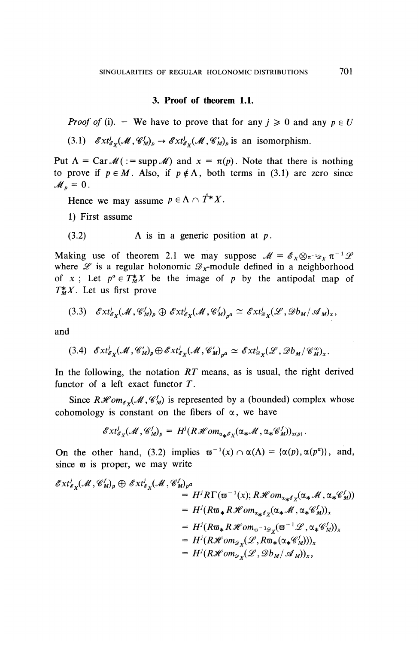### **3. Proof of theorem 1.1.**

*Proof of* (i). – We have to prove that for any  $j \ge 0$  and any  $p \in U$ 

(3.1)  $\mathscr{E}xt^j_{\mathscr{E}_v}(\mathscr{M}, \mathscr{C}_M^j)_p \to \mathscr{E}xt^j_{\mathscr{E}_v}(\mathscr{M}, \mathscr{C}_M^j)_p$  is an isomorphism.

Put  $\Lambda = \text{CarM}( := \text{supp}\,\mathcal{M})$  and  $x = \pi(p)$ . Note that there is nothing to prove if  $p \in M$ . Also, if  $p \notin \Lambda$ , both terms in (3.1) are zero since  $\mathcal{M}_n = 0$ .

Hence we may assume  $p \in \Lambda \cap \mathring{T}^*X$ .

- 1) First assume
- (3.2)  $\Lambda$  is in a generic position at p.

Making use of theorem 2.1 we may suppose  $\mathcal{M} = \mathcal{E}_X \otimes_{\pi^{-1} \mathcal{D}_X} \pi^{-1} \mathcal{L}$ where  $\mathscr L$  is a regular holonomic  $\mathscr D_{\mathcal K}$ -module defined in a neighborhood of x; Let  $p^a \in T^*_{M}X$  be the image of p by the antipodal map of  $T^*_{M}X$ . Let us first prove

$$
(3.3) \quad \mathscr{E}xt^j_{\mathscr{E}_X}(\mathscr{M},\mathscr{C}_M^j)_p \oplus \mathscr{E}xt^j_{\mathscr{E}_X}(\mathscr{M},\mathscr{C}_M^j)_{p^a} \simeq \mathscr{E}xt^j_{\mathscr{D}_X}(\mathscr{L},\mathscr{D}b_M/\mathscr{A}_M)_x,
$$

and

(3.4) 
$$
\mathscr{E}xt^j_{\mathscr{E}_X}(\mathscr{M}, \mathscr{C}_M)_p \oplus \mathscr{E}xt^j_{\mathscr{E}_X}(\mathscr{M}, \mathscr{C}_M')_{p^a} \simeq \mathscr{E}xt^j_{\mathscr{D}_X}(\mathscr{L}, \mathscr{D}b_M/\mathscr{C}_M^{\infty})_x.
$$

In the following, the notation *RT* means, as is usual, the right derived functor of a left exact functor *T' .*

Since  $R\mathcal{H}om_{\mathcal{E}_X}(\mathcal{M}, \mathcal{C}_M^f)$  is represented by a (bounded) complex whose cohomology is constant on the fibers of  $\alpha$ , we have<br>  $\mathscr{E}xt^j_{\mathscr{E}_X}(\mathscr{M}, \mathscr{C}'_M)_p = H^j(R\mathscr{H}om_{\alpha_{\mathscr{H}}\mathscr{E}_X}(\alpha_{\mathscr{H}}\mathscr{M}, \alpha_{\mathscr{H}}\mathscr{C}'_M))_{\alpha(p)}$ .

$$
\mathscr{E}xt^J_{\mathscr{E}_X}(\mathscr{M},\mathscr{C}_M^J)_p = H^J(R\mathscr{H}om_{\alpha_{\clubsuit}\mathscr{E}_X}(\alpha_{\clubsuit}\mathscr{M},\alpha_{\clubsuit}\mathscr{C}_M^J))_{\alpha(p)}.
$$

On the other hand, (3.2) implies  $\overline{\omega}^{-1}(x) \cap \alpha(\Lambda) = {\alpha(p), \alpha(p^a)}$ , and, since  $\varpi$  is proper, we may write

$$
\mathscr{E}xt^i_{\mathscr{E}_X}(\mathscr{M}, \mathscr{C}_M^j)_p \oplus \mathscr{E}xt^i_{\mathscr{E}_X}(\mathscr{M}, \mathscr{C}_M^j)_{p^a}
$$
  
\n
$$
= H^j R \Gamma(\varpi^{-1}(x); R \mathscr{H}om_{\alpha_{\ast} \mathscr{E}_X}(\alpha_{\ast} \mathscr{M}, \alpha_{\ast} \mathscr{C}_M^j))
$$
  
\n
$$
= H^j (R \varpi_{\ast} R \mathscr{H}om_{\alpha_{\ast} \mathscr{E}_X}(\alpha_{\ast} \mathscr{M}, \alpha_{\ast} \mathscr{C}_M^j))_x
$$
  
\n
$$
= H^j (R \varpi_{\ast} R \mathscr{H}om_{\varpi^{-1} \mathscr{D}_X}(\varpi^{-1} \mathscr{L}, \alpha_{\ast} \mathscr{C}_M^j))_x
$$
  
\n
$$
= H^j (R \mathscr{H}om_{\mathscr{D}_X}(\mathscr{L}, R \varpi_{\ast}(\alpha_{\ast} \mathscr{C}_M^j)))_x
$$
  
\n
$$
= H^j (R \mathscr{H}om_{\mathscr{D}_X}(\mathscr{L}, \mathscr{D}b_M / \mathscr{A}_M))_x,
$$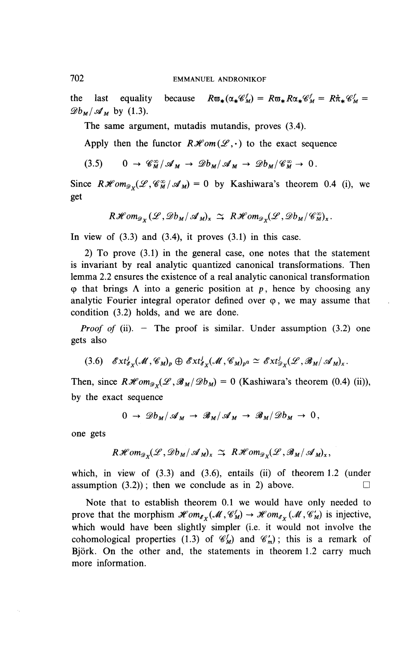the last equality because  $R\mathfrak{v}_*(\alpha_*\mathscr{C}_M) = R\mathfrak{v}_*R\alpha_*\mathscr{C}_M = R\mathfrak{v}_*\mathscr{C}_M = R\mathfrak{v}_*\mathscr{C}_M$  $\mathscr{D}_{\mathfrak{b}_M}/\mathscr{A}_{\mathfrak{m}}$  by (1.3).

The same argument, mutadis mutandis, proves (3.4).

Apply then the functor  $R\mathcal{H}$ om( $\mathcal{L}$ , $\cdot$ ) to the exact sequence

$$
(3.5) \qquad 0 \to \mathscr{C}_{M}^{\infty}/\mathscr{A}_{M} \to \mathscr{D}b_{M}/\mathscr{A}_{M} \to \mathscr{D}b_{M}/\mathscr{C}_{M}^{\infty} \to 0.
$$

Since  $R\mathcal{H}om_{\mathscr{D}\mathscr{L}}(\mathscr{L}, \mathscr{C}_{M}^{\infty}/\mathscr{A}_{M}) = 0$  by Kashiwara's theorem 0.4 (i), we get

$$
R\mathscr{H}om_{\mathscr{D}_X}(\mathscr{L},\mathscr{D}b_M/\mathscr{A}_M)_x \simeq R\mathscr{H}om_{\mathscr{D}_X}(\mathscr{L},\mathscr{D}b_M/\mathscr{C}_M^{\infty})_x.
$$

In view of  $(3.3)$  and  $(3.4)$ , it proves  $(3.1)$  in this case.

2) To prove (3.1) in the general case, one notes that the statement is invariant by real analytic quantized canonical transformations. Then lemma 2.2 ensures the existence of a real analytic canonical transformation  $\varphi$  that brings  $\Lambda$  into a generic position at p, hence by choosing any analytic Fourier integral operator defined over  $\varphi$ , we may assume that condition (3.2) holds, and we are done.

*Proof of* (ii). – The proof is similar. Under assumption (3.2) one gets also

$$
(3.6) \quad \mathscr{E}xt^j_{\mathscr{E}_X}(\mathscr{M}, \mathscr{C}_M)_p \oplus \mathscr{E}xt^j_{\mathscr{E}_X}(\mathscr{M}, \mathscr{C}_M)_{p^{\alpha}} \simeq \mathscr{E}xt^j_{\mathscr{D}_X}(\mathscr{L}, \mathscr{B}_M/\mathscr{A}_M)_x.
$$

Then, since  $R\mathcal{H}om_{\mathcal{D}_Y}(\mathcal{L}, \mathcal{B}_M/\mathcal{D}_{M}) = 0$  (Kashiwara's theorem (0.4) (ii)), by the exact sequence

$$
0 \to \mathscr{D}b_M/\mathscr{A}_M \to \mathscr{B}_M/\mathscr{A}_M \to \mathscr{B}_M/\mathscr{D}b_M \to 0,
$$

one gets

$$
R\mathscr{H}om_{\mathscr{D}_X}(\mathscr{L},\mathscr{D}b_M/\mathscr{A}_M)_x \simeq R\mathscr{H}om_{\mathscr{D}_X}(\mathscr{L},\mathscr{B}_M/\mathscr{A}_M)_x,
$$

which, in view of (3.3) and (3.6), entails (ii) of theorem 1.2 (under assumption  $(3.2)$ ; then we conclude as in 2) above.

Note that to establish theorem 0.1 we would have only needed to prove that the morphism  $\mathcal{H}om_{\mathcal{E}_X}(\mathcal{M}, \mathcal{C}_M^f) \to \mathcal{H}om_{\mathcal{E}_X}(\mathcal{M}, \mathcal{C}_M^{'})$  is injective, which would have been slightly simpler (i.e. it would not involve the cohomological properties (1.3) of  $\mathcal{C}_M^f$  and  $\mathcal{C}_m^f$ ; this is a remark of Björk. On the other and, the statements in theorem 1.2 carry much more information.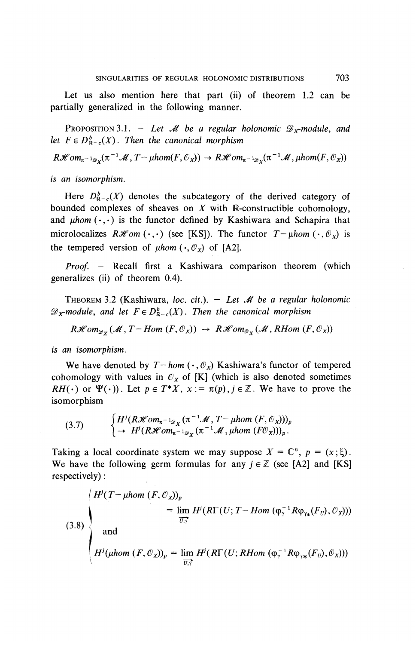Let us also mention here that part (ii) of theorem 1.2 can be partially generalized in the following manner.

PROPOSITION 3.1. - Let *M* be a regular holonomic  $\mathscr{D}_x$ -module, and *let*  $F \in D^b_{\mathbb{R}-c}(X)$ . Then the canonical morphism

 $R\mathscr{H}$ om<sub> $\pi^{-1}$ /<sub>2</sub>, ( $\pi^{-1}$ /*M*, *T*-*µhom*(*F*,  $\mathcal{O}_X$ ))  $\to R\mathscr{H}$ om $\pi^{-1}$ /<sub>2</sub>, ( $\pi^{-1}$ /*M*, *µhom*(*F*,  $\mathcal{O}_X$ )</sub>

*is an isomorphism.*

Here  $D_{R-c}^b(X)$  denotes the subcategory of the derived category of bounded complexes of sheaves on  $X$  with  $\mathbb{R}$ -constructible cohomology, and  $\mu$ hom  $(\cdot, \cdot)$  is the functor defined by Kashiwara and Schapira that microlocalizes  $R\mathcal{H}$ *om*  $(\cdot,\cdot)$  (see [KS]). The functor  $T-\mu$ *hom*  $(\cdot,\mathcal{O}_X)$  is the tempered version of  $\mu hom(\cdot, \mathcal{O}_x)$  of [A2].

*Proof. -* Recall first a Kashiwara comparison theorem (which generalizes (ii) of theorem 0.4).

THEOREM 3.2 (Kashiwara, toe. *cit.). - Let M be a regular holonomic*  $\mathscr{D}_X$ -module, and let  $F \in D^b_{R-c}(X)$ . Then the canonical morphism

 $R\mathscr{H}om_{\mathscr{D}_X}(\mathscr{M}, T- Hom (F, \mathscr{O}_X)) \rightarrow R\mathscr{H}om_{\mathscr{D}_X}(\mathscr{M}, RHom (F, \mathscr{O}_X))$ 

*is an isomorphism.*

We have denoted by  $T-hom (\cdot,\mathcal{O}_X)$  Kashiwara's functor of tempered cohomology with values in  $\mathcal{O}_X$  of [K] (which is also denoted sometimes *RH(.)* or  $\Psi(\cdot)$ . Let  $p \in T^*X$ ,  $x := \pi(p), j \in \mathbb{Z}$ . We have to prove the isomorphism

$$
\text{(3.7)} \qquad \begin{cases} H^j(R\mathcal{H}om_{\pi^{-1}\mathscr{D}_X}(\pi^{-1}\mathscr{M}, T-\mu hom\ (F, \mathscr{O}_X)))_p \\ \to H^j(R\mathcal{H}om_{\pi^{-1}\mathscr{D}_X}(\pi^{-1}\mathscr{M}, \mu hom\ (F\mathscr{O}_X)))_p. \end{cases}
$$

Taking a local coordinate system we may suppose  $X = \mathbb{C}^n$ ,  $p = (x;\xi)$ . We have the following germ formulas for any  $j \in \mathbb{Z}$  (see [A2] and [KS] respectively):

(3.8)  
\n
$$
\begin{cases}\nH^{j}(T-\mu hom (F, \mathcal{O}_{X}))_{p} \\
= \lim_{\overrightarrow{U}_{Y}} H^{j}(R\Gamma(U; T-Hom (\varphi_{\gamma}^{-1} R\varphi_{\gamma_{*}}(F_{U}), \mathcal{O}_{X}))) \\
and \\
H^{j}(\mu hom (F, \mathcal{O}_{X}))_{p} = \lim_{\overrightarrow{U_{Y}}} H^{j}(R\Gamma(U; RHom (\varphi_{\gamma}^{-1} R\varphi_{\gamma_{*}}(F_{U}), \mathcal{O}_{X})))\n\end{cases}
$$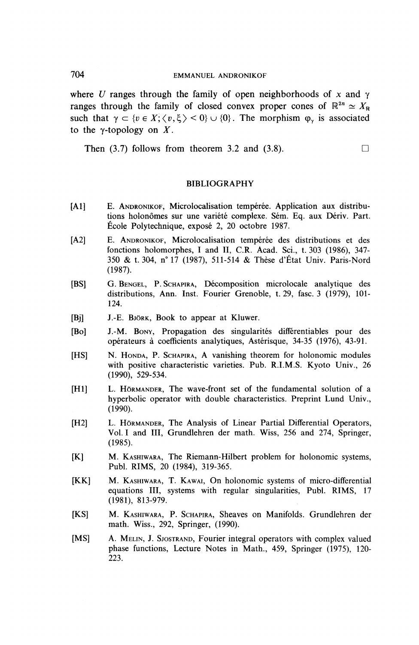where U ranges through the family of open neighborhoods of x and  $\gamma$ ranges through the family of closed convex proper cones of  $\mathbb{R}^{2n} \simeq X_{\mathbb{R}}$ such that  $\gamma \subset \{v \in X; \langle v, \xi \rangle \le 0\} \cup \{0\}$ . The morphism  $\varphi_{\gamma}$  is associated to the y-topology on *X.*

**Then** (3.7) follows from theorem 3.2 and (3.8).  $\Box$ 

#### **BIBLIOGRAPHY**

- [Al] E. ANDRONIKOF, Microlocalisation tempérée. Application aux distributions holonômes sur une variété complexe. Sém. Eq. aux Dériv. Part. Ecole Polytechnique, expose 2, 20 octobre 1987.
- [A2] E. ANDRONIKOF, Microlocalisation tempérée des distributions et des fonctions holomorphes, I and **II, C.R.** Acad. Sci., t. 303 (1986), 347- 350 & t. 304, n° 17 (1987), 511-514 & These d'Etat Univ. Paris-Nord (1987).
- [BS] G. BENGEL, P. SCHAPIRA, Décomposition microlocale analytique des distributions, Ann. Inst. Fourier Grenoble, t. 29, fasc. 3 (1979), 101- 124.
- [Bj] J.-E. BJORK, Book to appear at Kluwer.
- [Bo] J.-M. BONY, Propagation des singularites differentiables pour des operateurs a coefficients analytiques, Asterisque, 34-35 (1976), 43-91.
- [HS] N. HONDA, P. SCHAPIRA, A vanishing theorem for holonomic modules with positive characteristic varieties. Pub. R.I.M.S. Kyoto Univ., 26 (1990), 529-534.
- [HI] L. HORMANDER, The wave-front set of the fundamental solution of a hyperbolic operator with double characteristics. Preprint Lund Univ., (1990).
- [H2] L. HÖRMANDER, The Analysis of Linear Partial Differential Operators, Vol. I and III, Grundlehren der math. Wiss, 256 and 274, Springer, (1985).
- [K] M. KASHIWARA, The Riemann-Hilbert problem for holonomic systems, Publ. RIMS, 20 (1984), 319-365.
- [KK] M. KASHIWARA, T. KAWAI, On holonomic systems of micro-differential equations III, systems with regular singularities, Publ. RIMS, 17 (1981), 813-979.
- [KS] M. KASHIWARA, P. SCHAPIRA, Sheaves on Manifolds. Grundlehren der math. Wiss., 292, Springer, (1990).
- [MS] A. MELIN, J. SJOSTRAND, Fourier integral operators with complex valued phase functions. Lecture Notes in Math., 459, Springer (1975), 120- 223.